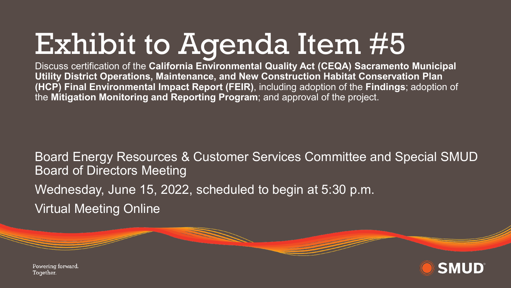# Exhibit to Agenda Item #5

Discuss certification of the **California Environmental Quality Act (CEQA) Sacramento Municipal Utility District Operations, Maintenance, and New Construction Habitat Conservation Plan (HCP) Final Environmental Impact Report (FEIR)**, including adoption of the **Findings**; adoption of the **Mitigation Monitoring and Reporting Program**; and approval of the project.

Board Energy Resources & Customer Services Committee and Special SMUD Board of Directors Meeting Wednesday, June 15, 2022, scheduled to begin at 5:30 p.m. Virtual Meeting Online



Powering forward. Together.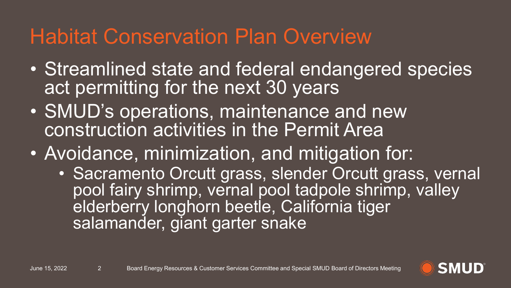### Habitat Conservation Plan Overview

- Streamlined state and federal endangered species act permitting for the next 30 years
- SMUD's operations, maintenance and new construction activities in the Permit Area
- Avoidance, minimization, and mitigation for:
	- Sacramento Orcutt grass, slender Orcutt grass, vernal pool fairy shrimp, vernal pool tadpole shrimp, valley elderberry longhorn beetle, California tiger salamander, giant garter snake

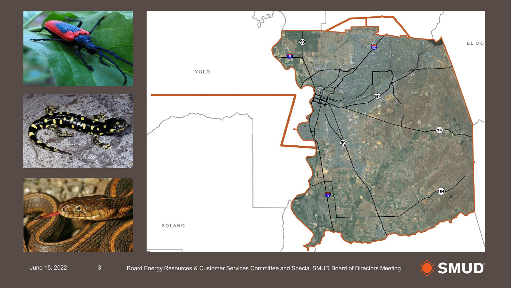

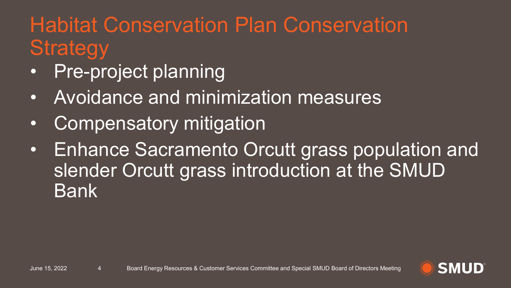# Habitat Conservation Plan Conservation **Strategy**

- Pre-project planning
- Avoidance and minimization measures
- Compensatory mitigation
- Enhance Sacramento Orcutt grass population and slender Orcutt grass introduction at the SMUD Bank

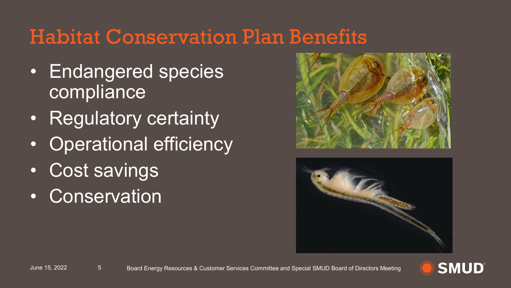#### Habitat Conservation Plan Benefits

- Endangered species **compliance**
- Regulatory certainty
- Operational efficiency
- Cost savings
- Conservation





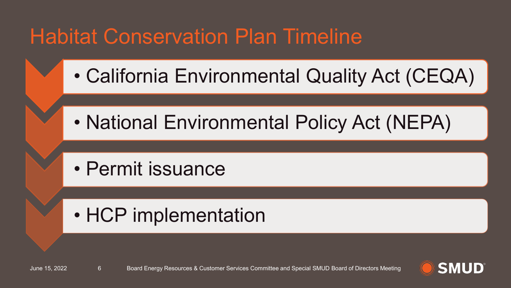## **Habitat Conservation Plan Timeline**

- California Environmental Quality Act (CEQA)
- National Environmental Policy Act (NEPA)
- Permit issuance

#### • HCP implementation

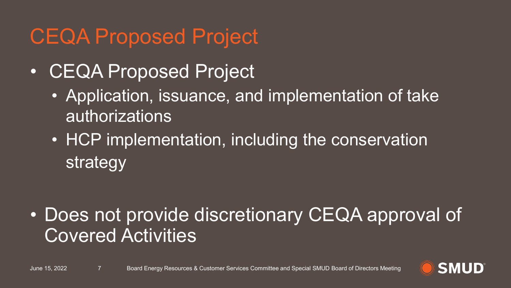### CEQA Proposed Project

- CEQA Proposed Project
	- Application, issuance, and implementation of take authorizations
	- HCP implementation, including the conservation strategy

• Does not provide discretionary CEQA approval of Covered Activities

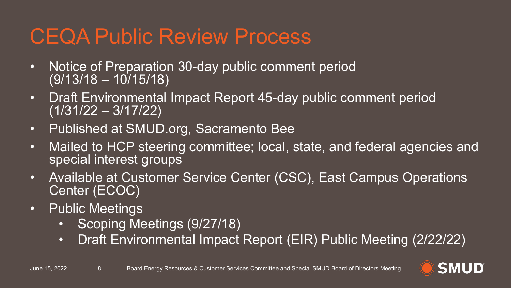### CEQA Public Review Process

- Notice of Preparation 30-day public comment period (9/13/18 – 10/15/18)
- Draft Environmental Impact Report 45-day public comment period (1/31/22 – 3/17/22)
- Published at SMUD.org, Sacramento Bee
- Mailed to HCP steering committee; local, state, and federal agencies and special interest groups
- Available at Customer Service Center (CSC), East Campus Operations Center (ECOC)
- Public Meetings
	- Scoping Meetings (9/27/18)
	- Draft Environmental Impact Report (EIR) Public Meeting (2/22/22)

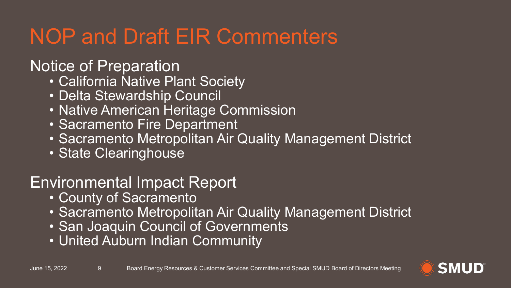# NOP and Draft EIR Commenters

#### Notice of Preparation

- California Native Plant Society
- Delta Stewardship Council
- Native American Heritage Commission
- Sacramento Fire Department
- Sacramento Metropolitan Air Quality Management District
- State Clearinghouse

#### Environmental Impact Report

- County of Sacramento
- Sacramento Metropolitan Air Quality Management District
- San Joaquin Council of Governments
- United Auburn Indian Community

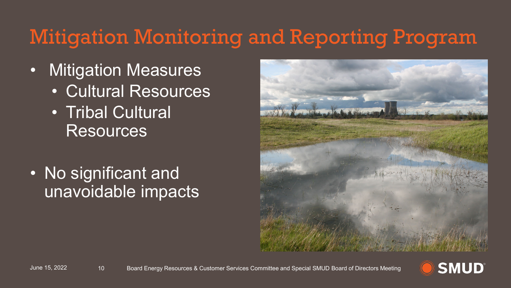## Mitigation Monitoring and Reporting Program

- Mitigation Measures
	- Cultural Resources
	- **Tribal Cultural** Resources
- No significant and unavoidable impacts